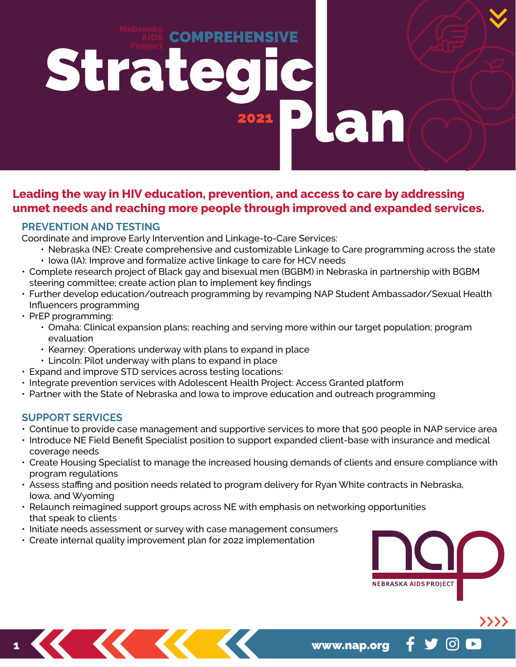**COMPREHENSIVE** Strate

2021

I

an

# **Leading the way in HIV education, prevention, and access to care by addressing unmet needs and reaching more people through improved and expanded services.**

## **PREVENTION AND TESTING**

Coordinate and improve Early Intervention and Linkage-to-Care Services:

- Nebraska (NE): Create comprehensive and customizable Linkage to Care programming across the state
- Iowa (IA): Improve and formalize active linkage to care for HCV needs
- Complete research project of Black gay and bisexual men (BGBM) in Nebraska in partnership with BGBM steering committee; create action plan to implement key findings
- Further develop education/outreach programming by revamping NAP Student Ambassador/Sexual Health Influencers programming
- PrEP programming:
	- Omaha: Clinical expansion plans; reaching and serving more within our target population; program evaluation
	- Kearney: Operations underway with plans to expand in place
	- Lincoln: Pilot underway with plans to expand in place
- Expand and improve STD services across testing locations:
- Integrate prevention services with Adolescent Health Project: Access Granted platform
- Partner with the State of Nebraska and Iowa to improve education and outreach programming

## **SUPPORT SERVICES**

- Continue to provide case management and supportive services to more that 500 people in NAP service area
- Introduce NE Field Benefit Specialist position to support expanded client-base with insurance and medical coverage needs
- Create Housing Specialist to manage the increased housing demands of clients and ensure compliance with program regulations
- Assess staffing and position needs related to program delivery for Ryan White contracts in Nebraska, Iowa, and Wyoming
- Relaunch reimagined support groups across NE with emphasis on networking opportunities that speak to clients
- Initiate needs assessment or survey with case management consumers
- Create internal quality improvement plan for 2022 implementation



>>>>

www.nap.org